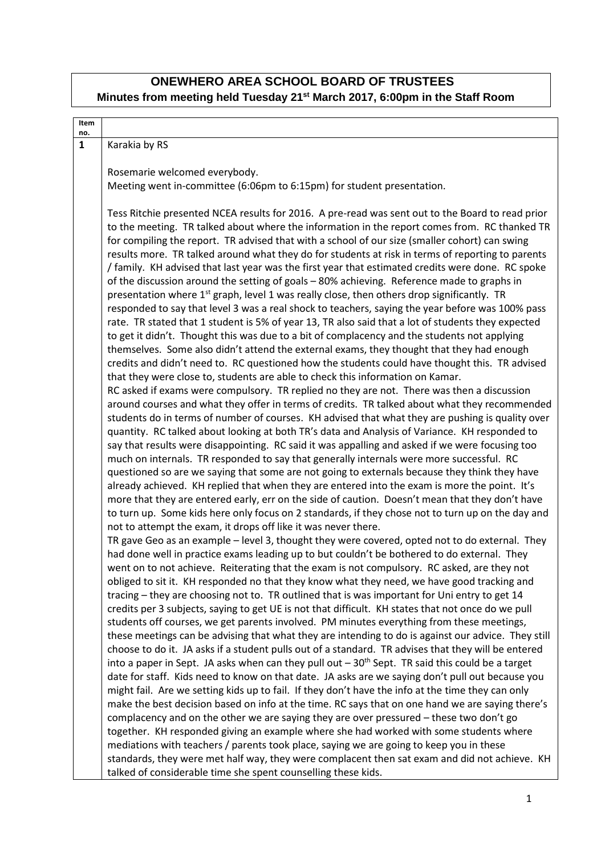## **ONEWHERO AREA SCHOOL BOARD OF TRUSTEES Minutes from meeting held Tuesday 21st March 2017, 6:00pm in the Staff Room**

| Karakia by RS                                                                                                                                                                                                                                                                                                                                                                                                                                                                                                                                                                                                                                                                                                                                                                                                                                                                                                                                                                                                                                                                                                                                                                                                                                                                                                                                                                                                                                                                                                                                                                                                                                                                                                                                                                                                                                                                                                                                                                                                                                                                                                                                                                                                                                                                                                                                                                                                                                                                                                                                                                                                                                                                                                                                                                                                                                                                                             |
|-----------------------------------------------------------------------------------------------------------------------------------------------------------------------------------------------------------------------------------------------------------------------------------------------------------------------------------------------------------------------------------------------------------------------------------------------------------------------------------------------------------------------------------------------------------------------------------------------------------------------------------------------------------------------------------------------------------------------------------------------------------------------------------------------------------------------------------------------------------------------------------------------------------------------------------------------------------------------------------------------------------------------------------------------------------------------------------------------------------------------------------------------------------------------------------------------------------------------------------------------------------------------------------------------------------------------------------------------------------------------------------------------------------------------------------------------------------------------------------------------------------------------------------------------------------------------------------------------------------------------------------------------------------------------------------------------------------------------------------------------------------------------------------------------------------------------------------------------------------------------------------------------------------------------------------------------------------------------------------------------------------------------------------------------------------------------------------------------------------------------------------------------------------------------------------------------------------------------------------------------------------------------------------------------------------------------------------------------------------------------------------------------------------------------------------------------------------------------------------------------------------------------------------------------------------------------------------------------------------------------------------------------------------------------------------------------------------------------------------------------------------------------------------------------------------------------------------------------------------------------------------------------------------|
|                                                                                                                                                                                                                                                                                                                                                                                                                                                                                                                                                                                                                                                                                                                                                                                                                                                                                                                                                                                                                                                                                                                                                                                                                                                                                                                                                                                                                                                                                                                                                                                                                                                                                                                                                                                                                                                                                                                                                                                                                                                                                                                                                                                                                                                                                                                                                                                                                                                                                                                                                                                                                                                                                                                                                                                                                                                                                                           |
|                                                                                                                                                                                                                                                                                                                                                                                                                                                                                                                                                                                                                                                                                                                                                                                                                                                                                                                                                                                                                                                                                                                                                                                                                                                                                                                                                                                                                                                                                                                                                                                                                                                                                                                                                                                                                                                                                                                                                                                                                                                                                                                                                                                                                                                                                                                                                                                                                                                                                                                                                                                                                                                                                                                                                                                                                                                                                                           |
|                                                                                                                                                                                                                                                                                                                                                                                                                                                                                                                                                                                                                                                                                                                                                                                                                                                                                                                                                                                                                                                                                                                                                                                                                                                                                                                                                                                                                                                                                                                                                                                                                                                                                                                                                                                                                                                                                                                                                                                                                                                                                                                                                                                                                                                                                                                                                                                                                                                                                                                                                                                                                                                                                                                                                                                                                                                                                                           |
| Rosemarie welcomed everybody.<br>Meeting went in-committee (6:06pm to 6:15pm) for student presentation.<br>Tess Ritchie presented NCEA results for 2016. A pre-read was sent out to the Board to read prior<br>to the meeting. TR talked about where the information in the report comes from. RC thanked TR<br>for compiling the report. TR advised that with a school of our size (smaller cohort) can swing<br>results more. TR talked around what they do for students at risk in terms of reporting to parents<br>/ family. KH advised that last year was the first year that estimated credits were done. RC spoke<br>of the discussion around the setting of goals - 80% achieving. Reference made to graphs in<br>presentation where 1 <sup>st</sup> graph, level 1 was really close, then others drop significantly. TR<br>responded to say that level 3 was a real shock to teachers, saying the year before was 100% pass<br>rate. TR stated that 1 student is 5% of year 13, TR also said that a lot of students they expected<br>to get it didn't. Thought this was due to a bit of complacency and the students not applying<br>themselves. Some also didn't attend the external exams, they thought that they had enough<br>credits and didn't need to. RC questioned how the students could have thought this. TR advised<br>that they were close to, students are able to check this information on Kamar.<br>RC asked if exams were compulsory. TR replied no they are not. There was then a discussion<br>around courses and what they offer in terms of credits. TR talked about what they recommended<br>students do in terms of number of courses. KH advised that what they are pushing is quality over<br>quantity. RC talked about looking at both TR's data and Analysis of Variance. KH responded to<br>say that results were disappointing. RC said it was appalling and asked if we were focusing too<br>much on internals. TR responded to say that generally internals were more successful. RC<br>questioned so are we saying that some are not going to externals because they think they have<br>already achieved. KH replied that when they are entered into the exam is more the point. It's<br>more that they are entered early, err on the side of caution. Doesn't mean that they don't have<br>to turn up. Some kids here only focus on 2 standards, if they chose not to turn up on the day and<br>not to attempt the exam, it drops off like it was never there.<br>TR gave Geo as an example - level 3, thought they were covered, opted not to do external. They<br>had done well in practice exams leading up to but couldn't be bothered to do external. They<br>went on to not achieve. Reiterating that the exam is not compulsory. RC asked, are they not<br>obliged to sit it. KH responded no that they know what they need, we have good tracking and |
| tracing – they are choosing not to. TR outlined that is was important for Uni entry to get 14                                                                                                                                                                                                                                                                                                                                                                                                                                                                                                                                                                                                                                                                                                                                                                                                                                                                                                                                                                                                                                                                                                                                                                                                                                                                                                                                                                                                                                                                                                                                                                                                                                                                                                                                                                                                                                                                                                                                                                                                                                                                                                                                                                                                                                                                                                                                                                                                                                                                                                                                                                                                                                                                                                                                                                                                             |
| credits per 3 subjects, saying to get UE is not that difficult. KH states that not once do we pull                                                                                                                                                                                                                                                                                                                                                                                                                                                                                                                                                                                                                                                                                                                                                                                                                                                                                                                                                                                                                                                                                                                                                                                                                                                                                                                                                                                                                                                                                                                                                                                                                                                                                                                                                                                                                                                                                                                                                                                                                                                                                                                                                                                                                                                                                                                                                                                                                                                                                                                                                                                                                                                                                                                                                                                                        |
| students off courses, we get parents involved. PM minutes everything from these meetings,                                                                                                                                                                                                                                                                                                                                                                                                                                                                                                                                                                                                                                                                                                                                                                                                                                                                                                                                                                                                                                                                                                                                                                                                                                                                                                                                                                                                                                                                                                                                                                                                                                                                                                                                                                                                                                                                                                                                                                                                                                                                                                                                                                                                                                                                                                                                                                                                                                                                                                                                                                                                                                                                                                                                                                                                                 |
| these meetings can be advising that what they are intending to do is against our advice. They still                                                                                                                                                                                                                                                                                                                                                                                                                                                                                                                                                                                                                                                                                                                                                                                                                                                                                                                                                                                                                                                                                                                                                                                                                                                                                                                                                                                                                                                                                                                                                                                                                                                                                                                                                                                                                                                                                                                                                                                                                                                                                                                                                                                                                                                                                                                                                                                                                                                                                                                                                                                                                                                                                                                                                                                                       |
| choose to do it. JA asks if a student pulls out of a standard. TR advises that they will be entered<br>into a paper in Sept. JA asks when can they pull out $-30^{th}$ Sept. TR said this could be a target                                                                                                                                                                                                                                                                                                                                                                                                                                                                                                                                                                                                                                                                                                                                                                                                                                                                                                                                                                                                                                                                                                                                                                                                                                                                                                                                                                                                                                                                                                                                                                                                                                                                                                                                                                                                                                                                                                                                                                                                                                                                                                                                                                                                                                                                                                                                                                                                                                                                                                                                                                                                                                                                                               |
| date for staff. Kids need to know on that date. JA asks are we saying don't pull out because you                                                                                                                                                                                                                                                                                                                                                                                                                                                                                                                                                                                                                                                                                                                                                                                                                                                                                                                                                                                                                                                                                                                                                                                                                                                                                                                                                                                                                                                                                                                                                                                                                                                                                                                                                                                                                                                                                                                                                                                                                                                                                                                                                                                                                                                                                                                                                                                                                                                                                                                                                                                                                                                                                                                                                                                                          |
| might fail. Are we setting kids up to fail. If they don't have the info at the time they can only                                                                                                                                                                                                                                                                                                                                                                                                                                                                                                                                                                                                                                                                                                                                                                                                                                                                                                                                                                                                                                                                                                                                                                                                                                                                                                                                                                                                                                                                                                                                                                                                                                                                                                                                                                                                                                                                                                                                                                                                                                                                                                                                                                                                                                                                                                                                                                                                                                                                                                                                                                                                                                                                                                                                                                                                         |
| make the best decision based on info at the time. RC says that on one hand we are saying there's                                                                                                                                                                                                                                                                                                                                                                                                                                                                                                                                                                                                                                                                                                                                                                                                                                                                                                                                                                                                                                                                                                                                                                                                                                                                                                                                                                                                                                                                                                                                                                                                                                                                                                                                                                                                                                                                                                                                                                                                                                                                                                                                                                                                                                                                                                                                                                                                                                                                                                                                                                                                                                                                                                                                                                                                          |
| complacency and on the other we are saying they are over pressured - these two don't go                                                                                                                                                                                                                                                                                                                                                                                                                                                                                                                                                                                                                                                                                                                                                                                                                                                                                                                                                                                                                                                                                                                                                                                                                                                                                                                                                                                                                                                                                                                                                                                                                                                                                                                                                                                                                                                                                                                                                                                                                                                                                                                                                                                                                                                                                                                                                                                                                                                                                                                                                                                                                                                                                                                                                                                                                   |
| together. KH responded giving an example where she had worked with some students where                                                                                                                                                                                                                                                                                                                                                                                                                                                                                                                                                                                                                                                                                                                                                                                                                                                                                                                                                                                                                                                                                                                                                                                                                                                                                                                                                                                                                                                                                                                                                                                                                                                                                                                                                                                                                                                                                                                                                                                                                                                                                                                                                                                                                                                                                                                                                                                                                                                                                                                                                                                                                                                                                                                                                                                                                    |
| mediations with teachers / parents took place, saying we are going to keep you in these                                                                                                                                                                                                                                                                                                                                                                                                                                                                                                                                                                                                                                                                                                                                                                                                                                                                                                                                                                                                                                                                                                                                                                                                                                                                                                                                                                                                                                                                                                                                                                                                                                                                                                                                                                                                                                                                                                                                                                                                                                                                                                                                                                                                                                                                                                                                                                                                                                                                                                                                                                                                                                                                                                                                                                                                                   |
| standards, they were met half way, they were complacent then sat exam and did not achieve. KH<br>talked of considerable time she spent counselling these kids.                                                                                                                                                                                                                                                                                                                                                                                                                                                                                                                                                                                                                                                                                                                                                                                                                                                                                                                                                                                                                                                                                                                                                                                                                                                                                                                                                                                                                                                                                                                                                                                                                                                                                                                                                                                                                                                                                                                                                                                                                                                                                                                                                                                                                                                                                                                                                                                                                                                                                                                                                                                                                                                                                                                                            |
|                                                                                                                                                                                                                                                                                                                                                                                                                                                                                                                                                                                                                                                                                                                                                                                                                                                                                                                                                                                                                                                                                                                                                                                                                                                                                                                                                                                                                                                                                                                                                                                                                                                                                                                                                                                                                                                                                                                                                                                                                                                                                                                                                                                                                                                                                                                                                                                                                                                                                                                                                                                                                                                                                                                                                                                                                                                                                                           |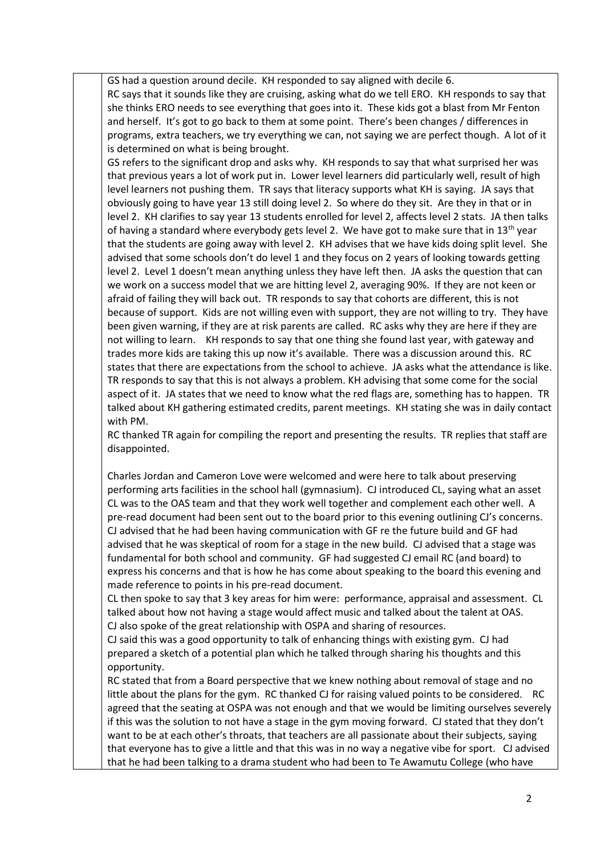GS had a question around decile. KH responded to say aligned with decile 6. RC says that it sounds like they are cruising, asking what do we tell ERO. KH responds to say that she thinks ERO needs to see everything that goes into it. These kids got a blast from Mr Fenton and herself. It's got to go back to them at some point. There's been changes / differences in programs, extra teachers, we try everything we can, not saying we are perfect though. A lot of it is determined on what is being brought.

GS refers to the significant drop and asks why. KH responds to say that what surprised her was that previous years a lot of work put in. Lower level learners did particularly well, result of high level learners not pushing them. TR says that literacy supports what KH is saying. JA says that obviously going to have year 13 still doing level 2. So where do they sit. Are they in that or in level 2. KH clarifies to say year 13 students enrolled for level 2, affects level 2 stats. JA then talks of having a standard where everybody gets level 2. We have got to make sure that in  $13<sup>th</sup>$  year that the students are going away with level 2. KH advises that we have kids doing split level. She advised that some schools don't do level 1 and they focus on 2 years of looking towards getting level 2. Level 1 doesn't mean anything unless they have left then. JA asks the question that can we work on a success model that we are hitting level 2, averaging 90%. If they are not keen or afraid of failing they will back out. TR responds to say that cohorts are different, this is not because of support. Kids are not willing even with support, they are not willing to try. They have been given warning, if they are at risk parents are called. RC asks why they are here if they are not willing to learn. KH responds to say that one thing she found last year, with gateway and trades more kids are taking this up now it's available. There was a discussion around this. RC states that there are expectations from the school to achieve. JA asks what the attendance is like. TR responds to say that this is not always a problem. KH advising that some come for the social aspect of it. JA states that we need to know what the red flags are, something has to happen. TR talked about KH gathering estimated credits, parent meetings. KH stating she was in daily contact with PM.

RC thanked TR again for compiling the report and presenting the results. TR replies that staff are disappointed.

Charles Jordan and Cameron Love were welcomed and were here to talk about preserving performing arts facilities in the school hall (gymnasium). CJ introduced CL, saying what an asset CL was to the OAS team and that they work well together and complement each other well. A pre-read document had been sent out to the board prior to this evening outlining CJ's concerns. CJ advised that he had been having communication with GF re the future build and GF had advised that he was skeptical of room for a stage in the new build. CJ advised that a stage was fundamental for both school and community. GF had suggested CJ email RC (and board) to express his concerns and that is how he has come about speaking to the board this evening and made reference to points in his pre-read document.

CL then spoke to say that 3 key areas for him were: performance, appraisal and assessment. CL talked about how not having a stage would affect music and talked about the talent at OAS. CJ also spoke of the great relationship with OSPA and sharing of resources.

CJ said this was a good opportunity to talk of enhancing things with existing gym. CJ had prepared a sketch of a potential plan which he talked through sharing his thoughts and this opportunity.

RC stated that from a Board perspective that we knew nothing about removal of stage and no little about the plans for the gym. RC thanked CJ for raising valued points to be considered. RC agreed that the seating at OSPA was not enough and that we would be limiting ourselves severely if this was the solution to not have a stage in the gym moving forward. CJ stated that they don't want to be at each other's throats, that teachers are all passionate about their subjects, saying that everyone has to give a little and that this was in no way a negative vibe for sport. CJ advised that he had been talking to a drama student who had been to Te Awamutu College (who have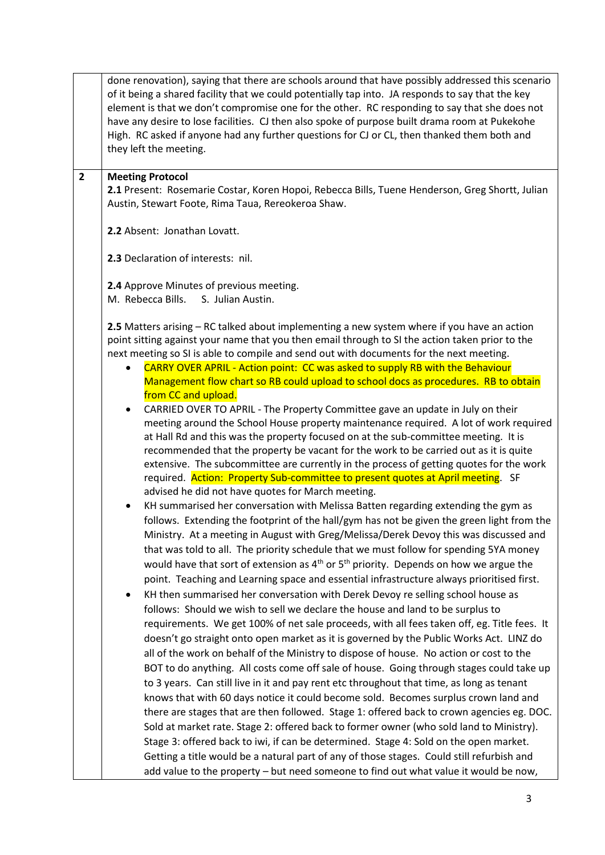|                | done renovation), saying that there are schools around that have possibly addressed this scenario<br>of it being a shared facility that we could potentially tap into. JA responds to say that the key<br>element is that we don't compromise one for the other. RC responding to say that she does not<br>have any desire to lose facilities. CJ then also spoke of purpose built drama room at Pukekohe<br>High. RC asked if anyone had any further questions for CJ or CL, then thanked them both and<br>they left the meeting.                                                                                                                                                                                                                                                                                                                                                                                                                                                                                                                                                                                                                                                                                                                                                                                                                                                                                                                                                                                                                                                                                                                                                                                                                                                                                                                                                                                                                                                                                                                                                                                                                                                                                                     |
|----------------|----------------------------------------------------------------------------------------------------------------------------------------------------------------------------------------------------------------------------------------------------------------------------------------------------------------------------------------------------------------------------------------------------------------------------------------------------------------------------------------------------------------------------------------------------------------------------------------------------------------------------------------------------------------------------------------------------------------------------------------------------------------------------------------------------------------------------------------------------------------------------------------------------------------------------------------------------------------------------------------------------------------------------------------------------------------------------------------------------------------------------------------------------------------------------------------------------------------------------------------------------------------------------------------------------------------------------------------------------------------------------------------------------------------------------------------------------------------------------------------------------------------------------------------------------------------------------------------------------------------------------------------------------------------------------------------------------------------------------------------------------------------------------------------------------------------------------------------------------------------------------------------------------------------------------------------------------------------------------------------------------------------------------------------------------------------------------------------------------------------------------------------------------------------------------------------------------------------------------------------|
| $\overline{2}$ | <b>Meeting Protocol</b>                                                                                                                                                                                                                                                                                                                                                                                                                                                                                                                                                                                                                                                                                                                                                                                                                                                                                                                                                                                                                                                                                                                                                                                                                                                                                                                                                                                                                                                                                                                                                                                                                                                                                                                                                                                                                                                                                                                                                                                                                                                                                                                                                                                                                |
|                | 2.1 Present: Rosemarie Costar, Koren Hopoi, Rebecca Bills, Tuene Henderson, Greg Shortt, Julian<br>Austin, Stewart Foote, Rima Taua, Rereokeroa Shaw.                                                                                                                                                                                                                                                                                                                                                                                                                                                                                                                                                                                                                                                                                                                                                                                                                                                                                                                                                                                                                                                                                                                                                                                                                                                                                                                                                                                                                                                                                                                                                                                                                                                                                                                                                                                                                                                                                                                                                                                                                                                                                  |
|                | 2.2 Absent: Jonathan Lovatt.                                                                                                                                                                                                                                                                                                                                                                                                                                                                                                                                                                                                                                                                                                                                                                                                                                                                                                                                                                                                                                                                                                                                                                                                                                                                                                                                                                                                                                                                                                                                                                                                                                                                                                                                                                                                                                                                                                                                                                                                                                                                                                                                                                                                           |
|                | 2.3 Declaration of interests: nil.                                                                                                                                                                                                                                                                                                                                                                                                                                                                                                                                                                                                                                                                                                                                                                                                                                                                                                                                                                                                                                                                                                                                                                                                                                                                                                                                                                                                                                                                                                                                                                                                                                                                                                                                                                                                                                                                                                                                                                                                                                                                                                                                                                                                     |
|                | 2.4 Approve Minutes of previous meeting.<br>M. Rebecca Bills.<br>S. Julian Austin.                                                                                                                                                                                                                                                                                                                                                                                                                                                                                                                                                                                                                                                                                                                                                                                                                                                                                                                                                                                                                                                                                                                                                                                                                                                                                                                                                                                                                                                                                                                                                                                                                                                                                                                                                                                                                                                                                                                                                                                                                                                                                                                                                     |
|                | 2.5 Matters arising - RC talked about implementing a new system where if you have an action<br>point sitting against your name that you then email through to SI the action taken prior to the<br>next meeting so SI is able to compile and send out with documents for the next meeting.<br>CARRY OVER APRIL - Action point: CC was asked to supply RB with the Behaviour<br>Management flow chart so RB could upload to school docs as procedures. RB to obtain                                                                                                                                                                                                                                                                                                                                                                                                                                                                                                                                                                                                                                                                                                                                                                                                                                                                                                                                                                                                                                                                                                                                                                                                                                                                                                                                                                                                                                                                                                                                                                                                                                                                                                                                                                      |
|                | from CC and upload.<br>CARRIED OVER TO APRIL - The Property Committee gave an update in July on their<br>$\bullet$<br>meeting around the School House property maintenance required. A lot of work required<br>at Hall Rd and this was the property focused on at the sub-committee meeting. It is<br>recommended that the property be vacant for the work to be carried out as it is quite<br>extensive. The subcommittee are currently in the process of getting quotes for the work<br>required. Action: Property Sub-committee to present quotes at April meeting. SF<br>advised he did not have quotes for March meeting.<br>KH summarised her conversation with Melissa Batten regarding extending the gym as<br>follows. Extending the footprint of the hall/gym has not be given the green light from the<br>Ministry. At a meeting in August with Greg/Melissa/Derek Devoy this was discussed and<br>that was told to all. The priority schedule that we must follow for spending 5YA money<br>would have that sort of extension as $4th$ or $5th$ priority. Depends on how we argue the<br>point. Teaching and Learning space and essential infrastructure always prioritised first.<br>KH then summarised her conversation with Derek Devoy re selling school house as<br>$\bullet$<br>follows: Should we wish to sell we declare the house and land to be surplus to<br>requirements. We get 100% of net sale proceeds, with all fees taken off, eg. Title fees. It<br>doesn't go straight onto open market as it is governed by the Public Works Act. LINZ do<br>all of the work on behalf of the Ministry to dispose of house. No action or cost to the<br>BOT to do anything. All costs come off sale of house. Going through stages could take up<br>to 3 years. Can still live in it and pay rent etc throughout that time, as long as tenant<br>knows that with 60 days notice it could become sold. Becomes surplus crown land and<br>there are stages that are then followed. Stage 1: offered back to crown agencies eg. DOC.<br>Sold at market rate. Stage 2: offered back to former owner (who sold land to Ministry).<br>Stage 3: offered back to iwi, if can be determined. Stage 4: Sold on the open market. |
|                | Getting a title would be a natural part of any of those stages. Could still refurbish and<br>add value to the property - but need someone to find out what value it would be now,                                                                                                                                                                                                                                                                                                                                                                                                                                                                                                                                                                                                                                                                                                                                                                                                                                                                                                                                                                                                                                                                                                                                                                                                                                                                                                                                                                                                                                                                                                                                                                                                                                                                                                                                                                                                                                                                                                                                                                                                                                                      |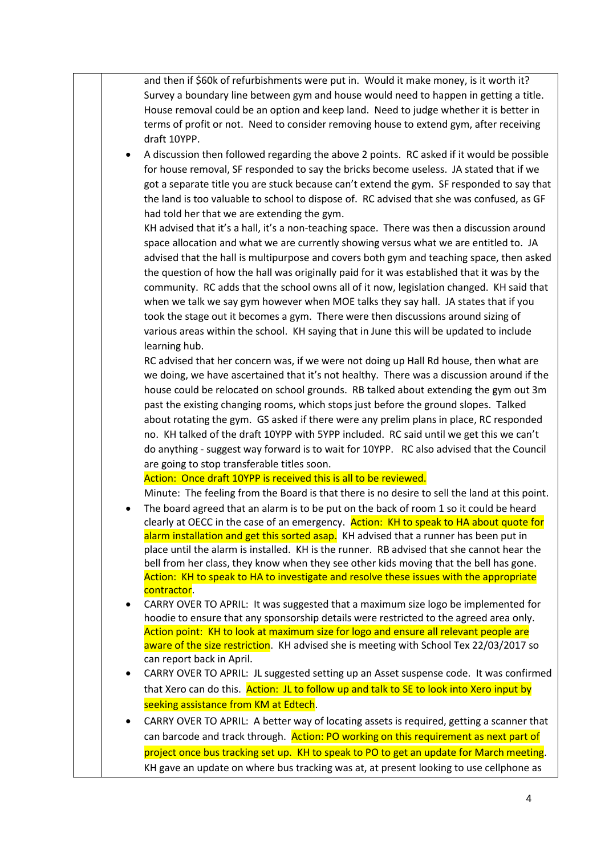and then if \$60k of refurbishments were put in. Would it make money, is it worth it? Survey a boundary line between gym and house would need to happen in getting a title. House removal could be an option and keep land. Need to judge whether it is better in terms of profit or not. Need to consider removing house to extend gym, after receiving draft 10YPP.

 A discussion then followed regarding the above 2 points. RC asked if it would be possible for house removal, SF responded to say the bricks become useless. JA stated that if we got a separate title you are stuck because can't extend the gym. SF responded to say that the land is too valuable to school to dispose of. RC advised that she was confused, as GF had told her that we are extending the gym.

KH advised that it's a hall, it's a non-teaching space. There was then a discussion around space allocation and what we are currently showing versus what we are entitled to. JA advised that the hall is multipurpose and covers both gym and teaching space, then asked the question of how the hall was originally paid for it was established that it was by the community. RC adds that the school owns all of it now, legislation changed. KH said that when we talk we say gym however when MOE talks they say hall. JA states that if you took the stage out it becomes a gym. There were then discussions around sizing of various areas within the school. KH saying that in June this will be updated to include learning hub.

RC advised that her concern was, if we were not doing up Hall Rd house, then what are we doing, we have ascertained that it's not healthy. There was a discussion around if the house could be relocated on school grounds. RB talked about extending the gym out 3m past the existing changing rooms, which stops just before the ground slopes. Talked about rotating the gym. GS asked if there were any prelim plans in place, RC responded no. KH talked of the draft 10YPP with 5YPP included. RC said until we get this we can't do anything - suggest way forward is to wait for 10YPP. RC also advised that the Council are going to stop transferable titles soon.

Action: Once draft 10YPP is received this is all to be reviewed.

Minute: The feeling from the Board is that there is no desire to sell the land at this point.

- The board agreed that an alarm is to be put on the back of room 1 so it could be heard clearly at OECC in the case of an emergency. **Action: KH to speak to HA about quote for** alarm installation and get this sorted asap. KH advised that a runner has been put in place until the alarm is installed. KH is the runner. RB advised that she cannot hear the bell from her class, they know when they see other kids moving that the bell has gone. Action: KH to speak to HA to investigate and resolve these issues with the appropriate contractor.
- CARRY OVER TO APRIL: It was suggested that a maximum size logo be implemented for hoodie to ensure that any sponsorship details were restricted to the agreed area only. Action point: KH to look at maximum size for logo and ensure all relevant people are aware of the size restriction. KH advised she is meeting with School Tex 22/03/2017 so can report back in April.
- CARRY OVER TO APRIL: JL suggested setting up an Asset suspense code. It was confirmed that Xero can do this. Action: JL to follow up and talk to SE to look into Xero input by seeking assistance from KM at Edtech.
- CARRY OVER TO APRIL: A better way of locating assets is required, getting a scanner that can barcode and track through. Action: PO working on this requirement as next part of project once bus tracking set up. KH to speak to PO to get an update for March meeting. KH gave an update on where bus tracking was at, at present looking to use cellphone as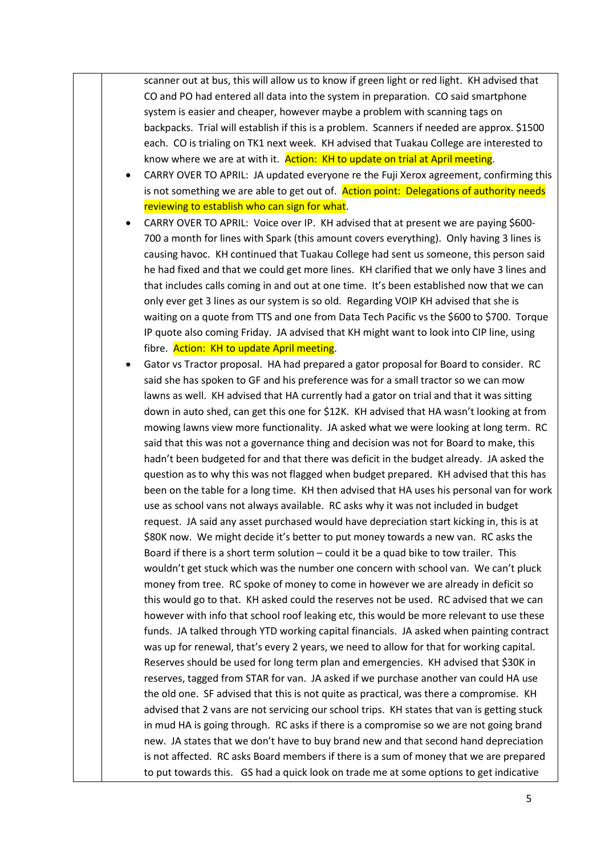scanner out at bus, this will allow us to know if green light or red light. KH advised that CO and PO had entered all data into the system in preparation. CO said smartphone system is easier and cheaper, however maybe a problem with scanning tags on backpacks. Trial will establish if this is a problem. Scanners if needed are approx. \$1500 each. CO is trialing on TK1 next week. KH advised that Tuakau College are interested to know where we are at with it. Action: KH to update on trial at April meeting.

- CARRY OVER TO APRIL: JA updated everyone re the Fuji Xerox agreement, confirming this is not something we are able to get out of. Action point: Delegations of authority needs reviewing to establish who can sign for what.
- CARRY OVER TO APRIL: Voice over IP. KH advised that at present we are paying \$600- 700 a month for lines with Spark (this amount covers everything). Only having 3 lines is causing havoc. KH continued that Tuakau College had sent us someone, this person said he had fixed and that we could get more lines. KH clarified that we only have 3 lines and that includes calls coming in and out at one time. It's been established now that we can only ever get 3 lines as our system is so old. Regarding VOIP KH advised that she is waiting on a quote from TTS and one from Data Tech Pacific vs the \$600 to \$700. Torque IP quote also coming Friday. JA advised that KH might want to look into CIP line, using fibre. Action: KH to update April meeting.
- Gator vs Tractor proposal. HA had prepared a gator proposal for Board to consider. RC said she has spoken to GF and his preference was for a small tractor so we can mow lawns as well. KH advised that HA currently had a gator on trial and that it was sitting down in auto shed, can get this one for \$12K. KH advised that HA wasn't looking at from mowing lawns view more functionality. JA asked what we were looking at long term. RC said that this was not a governance thing and decision was not for Board to make, this hadn't been budgeted for and that there was deficit in the budget already. JA asked the question as to why this was not flagged when budget prepared. KH advised that this has been on the table for a long time. KH then advised that HA uses his personal van for work use as school vans not always available. RC asks why it was not included in budget request. JA said any asset purchased would have depreciation start kicking in, this is at \$80K now. We might decide it's better to put money towards a new van. RC asks the Board if there is a short term solution – could it be a quad bike to tow trailer. This wouldn't get stuck which was the number one concern with school van. We can't pluck money from tree. RC spoke of money to come in however we are already in deficit so this would go to that. KH asked could the reserves not be used. RC advised that we can however with info that school roof leaking etc, this would be more relevant to use these funds. JA talked through YTD working capital financials. JA asked when painting contract was up for renewal, that's every 2 years, we need to allow for that for working capital. Reserves should be used for long term plan and emergencies. KH advised that \$30K in reserves, tagged from STAR for van. JA asked if we purchase another van could HA use the old one. SF advised that this is not quite as practical, was there a compromise. KH advised that 2 vans are not servicing our school trips. KH states that van is getting stuck in mud HA is going through. RC asks if there is a compromise so we are not going brand new. JA states that we don't have to buy brand new and that second hand depreciation is not affected. RC asks Board members if there is a sum of money that we are prepared to put towards this. GS had a quick look on trade me at some options to get indicative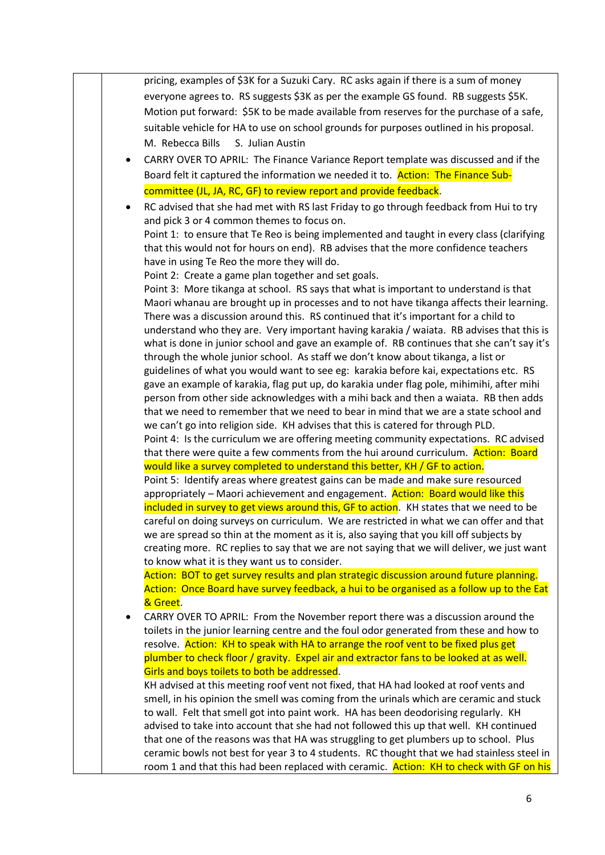|           | pricing, examples of \$3K for a Suzuki Cary. RC asks again if there is a sum of money                                                                                                  |
|-----------|----------------------------------------------------------------------------------------------------------------------------------------------------------------------------------------|
|           | everyone agrees to. RS suggests \$3K as per the example GS found. RB suggests \$5K.                                                                                                    |
|           | Motion put forward: \$5K to be made available from reserves for the purchase of a safe,                                                                                                |
|           | suitable vehicle for HA to use on school grounds for purposes outlined in his proposal.                                                                                                |
|           | M. Rebecca Bills<br>S. Julian Austin                                                                                                                                                   |
|           |                                                                                                                                                                                        |
| $\bullet$ | CARRY OVER TO APRIL: The Finance Variance Report template was discussed and if the                                                                                                     |
|           | Board felt it captured the information we needed it to. Action: The Finance Sub-                                                                                                       |
|           | committee (JL, JA, RC, GF) to review report and provide feedback.                                                                                                                      |
| ٠         | RC advised that she had met with RS last Friday to go through feedback from Hui to try                                                                                                 |
|           | and pick 3 or 4 common themes to focus on.                                                                                                                                             |
|           | Point 1: to ensure that Te Reo is being implemented and taught in every class (clarifying                                                                                              |
|           | that this would not for hours on end). RB advises that the more confidence teachers                                                                                                    |
|           | have in using Te Reo the more they will do.                                                                                                                                            |
|           | Point 2: Create a game plan together and set goals.                                                                                                                                    |
|           | Point 3: More tikanga at school. RS says that what is important to understand is that                                                                                                  |
|           | Maori whanau are brought up in processes and to not have tikanga affects their learning.                                                                                               |
|           | There was a discussion around this. RS continued that it's important for a child to                                                                                                    |
|           | understand who they are. Very important having karakia / waiata. RB advises that this is<br>what is done in junior school and gave an example of. RB continues that she can't say it's |
|           | through the whole junior school. As staff we don't know about tikanga, a list or                                                                                                       |
|           | guidelines of what you would want to see eg: karakia before kai, expectations etc. RS                                                                                                  |
|           | gave an example of karakia, flag put up, do karakia under flag pole, mihimihi, after mihi                                                                                              |
|           | person from other side acknowledges with a mihi back and then a waiata. RB then adds                                                                                                   |
|           | that we need to remember that we need to bear in mind that we are a state school and                                                                                                   |
|           | we can't go into religion side. KH advises that this is catered for through PLD.                                                                                                       |
|           | Point 4: Is the curriculum we are offering meeting community expectations. RC advised                                                                                                  |
|           | that there were quite a few comments from the hui around curriculum. Action: Board                                                                                                     |
|           | would like a survey completed to understand this better, KH / GF to action.                                                                                                            |
|           | Point 5: Identify areas where greatest gains can be made and make sure resourced                                                                                                       |
|           | appropriately - Maori achievement and engagement. Action: Board would like this                                                                                                        |
|           | included in survey to get views around this, GF to action. KH states that we need to be                                                                                                |
|           | careful on doing surveys on curriculum. We are restricted in what we can offer and that                                                                                                |
|           | we are spread so thin at the moment as it is, also saying that you kill off subjects by                                                                                                |
|           | creating more. RC replies to say that we are not saying that we will deliver, we just want                                                                                             |
|           | to know what it is they want us to consider.<br>Action: BOT to get survey results and plan strategic discussion around future planning.                                                |
|           | Action: Once Board have survey feedback, a hui to be organised as a follow up to the Eat                                                                                               |
|           | & Greet.                                                                                                                                                                               |
| $\bullet$ | CARRY OVER TO APRIL: From the November report there was a discussion around the                                                                                                        |
|           | toilets in the junior learning centre and the foul odor generated from these and how to                                                                                                |
|           | resolve. Action: KH to speak with HA to arrange the roof vent to be fixed plus get                                                                                                     |
|           | plumber to check floor / gravity. Expel air and extractor fans to be looked at as well.                                                                                                |
|           | Girls and boys toilets to both be addressed.                                                                                                                                           |
|           | KH advised at this meeting roof vent not fixed, that HA had looked at roof vents and                                                                                                   |
|           | smell, in his opinion the smell was coming from the urinals which are ceramic and stuck                                                                                                |
|           | to wall. Felt that smell got into paint work. HA has been deodorising regularly. KH                                                                                                    |
|           | advised to take into account that she had not followed this up that well. KH continued                                                                                                 |
|           | that one of the reasons was that HA was struggling to get plumbers up to school. Plus                                                                                                  |
|           | ceramic bowls not best for year 3 to 4 students. RC thought that we had stainless steel in                                                                                             |
|           | room 1 and that this had been replaced with ceramic. Action: KH to check with GF on his                                                                                                |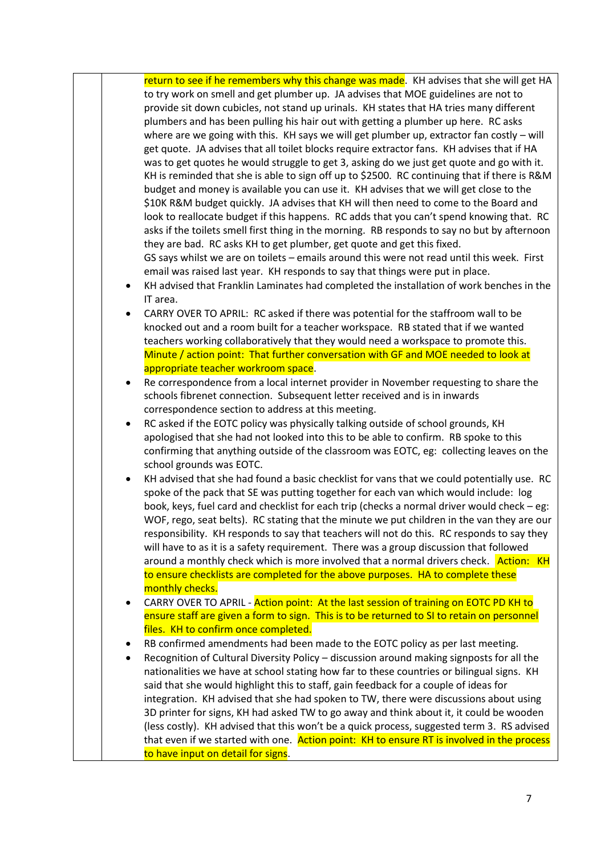return to see if he remembers why this change was made. KH advises that she will get HA to try work on smell and get plumber up. JA advises that MOE guidelines are not to provide sit down cubicles, not stand up urinals. KH states that HA tries many different plumbers and has been pulling his hair out with getting a plumber up here. RC asks where are we going with this. KH says we will get plumber up, extractor fan costly – will get quote. JA advises that all toilet blocks require extractor fans. KH advises that if HA was to get quotes he would struggle to get 3, asking do we just get quote and go with it. KH is reminded that she is able to sign off up to \$2500. RC continuing that if there is R&M budget and money is available you can use it. KH advises that we will get close to the \$10K R&M budget quickly. JA advises that KH will then need to come to the Board and look to reallocate budget if this happens. RC adds that you can't spend knowing that. RC asks if the toilets smell first thing in the morning. RB responds to say no but by afternoon they are bad. RC asks KH to get plumber, get quote and get this fixed. GS says whilst we are on toilets – emails around this were not read until this week. First email was raised last year. KH responds to say that things were put in place.

- KH advised that Franklin Laminates had completed the installation of work benches in the IT area.
- CARRY OVER TO APRIL: RC asked if there was potential for the staffroom wall to be knocked out and a room built for a teacher workspace. RB stated that if we wanted teachers working collaboratively that they would need a workspace to promote this. Minute / action point: That further conversation with GF and MOE needed to look at appropriate teacher workroom space.
- Re correspondence from a local internet provider in November requesting to share the schools fibrenet connection. Subsequent letter received and is in inwards correspondence section to address at this meeting.
- RC asked if the EOTC policy was physically talking outside of school grounds, KH apologised that she had not looked into this to be able to confirm. RB spoke to this confirming that anything outside of the classroom was EOTC, eg: collecting leaves on the school grounds was EOTC.
- KH advised that she had found a basic checklist for vans that we could potentially use. RC spoke of the pack that SE was putting together for each van which would include: log book, keys, fuel card and checklist for each trip (checks a normal driver would check – eg: WOF, rego, seat belts). RC stating that the minute we put children in the van they are our responsibility. KH responds to say that teachers will not do this. RC responds to say they will have to as it is a safety requirement. There was a group discussion that followed around a monthly check which is more involved that a normal drivers check. Action: KH to ensure checklists are completed for the above purposes. HA to complete these monthly checks.
- CARRY OVER TO APRIL Action point: At the last session of training on EOTC PD KH to ensure staff are given a form to sign. This is to be returned to SI to retain on personnel files. KH to confirm once completed.
- RB confirmed amendments had been made to the EOTC policy as per last meeting.
- Recognition of Cultural Diversity Policy discussion around making signposts for all the nationalities we have at school stating how far to these countries or bilingual signs. KH said that she would highlight this to staff, gain feedback for a couple of ideas for integration. KH advised that she had spoken to TW, there were discussions about using 3D printer for signs, KH had asked TW to go away and think about it, it could be wooden (less costly). KH advised that this won't be a quick process, suggested term 3. RS advised that even if we started with one. Action point: KH to ensure RT is involved in the process to have input on detail for signs.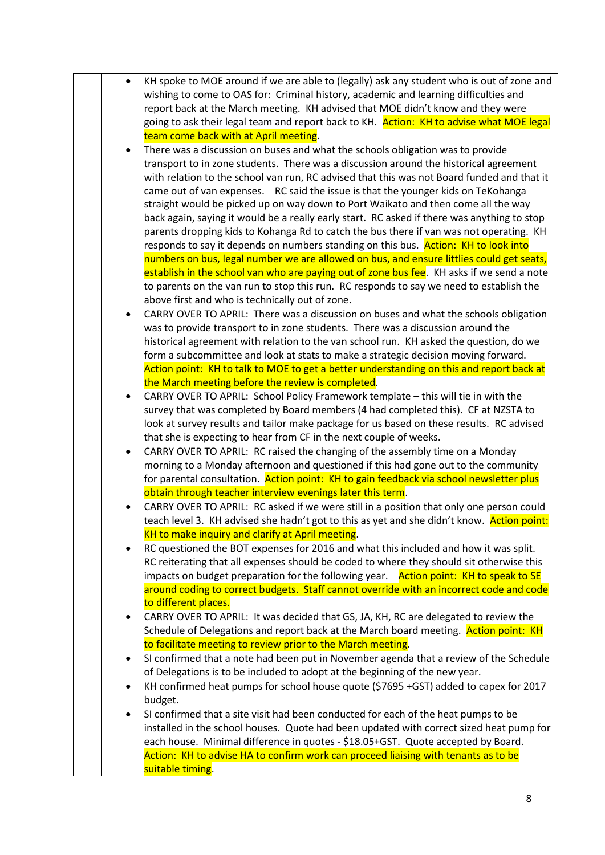| $\bullet$ | KH spoke to MOE around if we are able to (legally) ask any student who is out of zone and                                                                                       |
|-----------|---------------------------------------------------------------------------------------------------------------------------------------------------------------------------------|
|           | wishing to come to OAS for: Criminal history, academic and learning difficulties and                                                                                            |
|           | report back at the March meeting. KH advised that MOE didn't know and they were                                                                                                 |
|           | going to ask their legal team and report back to KH. Action: KH to advise what MOE legal                                                                                        |
|           | team come back with at April meeting.                                                                                                                                           |
| $\bullet$ | There was a discussion on buses and what the schools obligation was to provide                                                                                                  |
|           | transport to in zone students. There was a discussion around the historical agreement                                                                                           |
|           | with relation to the school van run, RC advised that this was not Board funded and that it                                                                                      |
|           | came out of van expenses.  RC said the issue is that the younger kids on TeKohanga                                                                                              |
|           | straight would be picked up on way down to Port Waikato and then come all the way                                                                                               |
|           | back again, saying it would be a really early start. RC asked if there was anything to stop                                                                                     |
|           | parents dropping kids to Kohanga Rd to catch the bus there if van was not operating. KH                                                                                         |
|           | responds to say it depends on numbers standing on this bus. Action: KH to look into<br>numbers on bus, legal number we are allowed on bus, and ensure littlies could get seats, |
|           | establish in the school van who are paying out of zone bus fee. KH asks if we send a note                                                                                       |
|           | to parents on the van run to stop this run. RC responds to say we need to establish the                                                                                         |
|           | above first and who is technically out of zone.                                                                                                                                 |
| $\bullet$ | CARRY OVER TO APRIL: There was a discussion on buses and what the schools obligation                                                                                            |
|           | was to provide transport to in zone students. There was a discussion around the                                                                                                 |
|           | historical agreement with relation to the van school run. KH asked the question, do we                                                                                          |
|           | form a subcommittee and look at stats to make a strategic decision moving forward.                                                                                              |
|           | Action point: KH to talk to MOE to get a better understanding on this and report back at                                                                                        |
|           | the March meeting before the review is completed.                                                                                                                               |
|           | CARRY OVER TO APRIL: School Policy Framework template - this will tie in with the                                                                                               |
|           | survey that was completed by Board members (4 had completed this). CF at NZSTA to                                                                                               |
|           | look at survey results and tailor make package for us based on these results. RC advised                                                                                        |
|           | that she is expecting to hear from CF in the next couple of weeks.                                                                                                              |
| $\bullet$ | CARRY OVER TO APRIL: RC raised the changing of the assembly time on a Monday                                                                                                    |
|           | morning to a Monday afternoon and questioned if this had gone out to the community                                                                                              |
|           | for parental consultation. Action point: KH to gain feedback via school newsletter plus                                                                                         |
|           | obtain through teacher interview evenings later this term.                                                                                                                      |
|           | CARRY OVER TO APRIL: RC asked if we were still in a position that only one person could                                                                                         |
|           | teach level 3. KH advised she hadn't got to this as yet and she didn't know. Action point:                                                                                      |
|           | KH to make inquiry and clarify at April meeting.                                                                                                                                |
|           | RC questioned the BOT expenses for 2016 and what this included and how it was split.                                                                                            |
|           | RC reiterating that all expenses should be coded to where they should sit otherwise this                                                                                        |
|           | impacts on budget preparation for the following year. Action point: KH to speak to SE                                                                                           |
|           | around coding to correct budgets. Staff cannot override with an incorrect code and code                                                                                         |
|           | to different places.                                                                                                                                                            |
| ٠         | CARRY OVER TO APRIL: It was decided that GS, JA, KH, RC are delegated to review the                                                                                             |
|           | Schedule of Delegations and report back at the March board meeting. Action point: KH<br>to facilitate meeting to review prior to the March meeting.                             |
|           | SI confirmed that a note had been put in November agenda that a review of the Schedule                                                                                          |
| ٠         | of Delegations is to be included to adopt at the beginning of the new year.                                                                                                     |
| $\bullet$ | KH confirmed heat pumps for school house quote (\$7695 +GST) added to capex for 2017                                                                                            |
|           | budget.                                                                                                                                                                         |
| ٠         | SI confirmed that a site visit had been conducted for each of the heat pumps to be                                                                                              |
|           | installed in the school houses. Quote had been updated with correct sized heat pump for                                                                                         |
|           | each house. Minimal difference in quotes - \$18.05+GST. Quote accepted by Board.                                                                                                |
|           | Action: KH to advise HA to confirm work can proceed liaising with tenants as to be                                                                                              |
|           | suitable timing.                                                                                                                                                                |
|           |                                                                                                                                                                                 |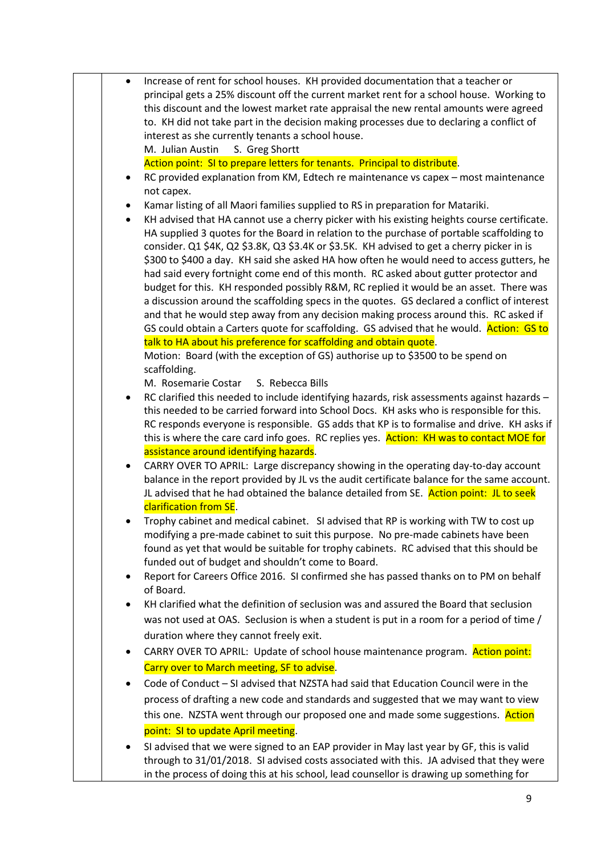| $\bullet$ | Increase of rent for school houses. KH provided documentation that a teacher or<br>principal gets a 25% discount off the current market rent for a school house. Working to<br>this discount and the lowest market rate appraisal the new rental amounts were agreed<br>to. KH did not take part in the decision making processes due to declaring a conflict of<br>interest as she currently tenants a school house.                                                                                                                                         |
|-----------|---------------------------------------------------------------------------------------------------------------------------------------------------------------------------------------------------------------------------------------------------------------------------------------------------------------------------------------------------------------------------------------------------------------------------------------------------------------------------------------------------------------------------------------------------------------|
|           | M. Julian Austin<br>S. Greg Shortt                                                                                                                                                                                                                                                                                                                                                                                                                                                                                                                            |
|           | Action point: SI to prepare letters for tenants. Principal to distribute.                                                                                                                                                                                                                                                                                                                                                                                                                                                                                     |
| $\bullet$ | RC provided explanation from KM, Edtech re maintenance vs capex - most maintenance                                                                                                                                                                                                                                                                                                                                                                                                                                                                            |
|           | not capex.                                                                                                                                                                                                                                                                                                                                                                                                                                                                                                                                                    |
| $\bullet$ | Kamar listing of all Maori families supplied to RS in preparation for Matariki.<br>KH advised that HA cannot use a cherry picker with his existing heights course certificate.<br>HA supplied 3 quotes for the Board in relation to the purchase of portable scaffolding to<br>consider. Q1 \$4K, Q2 \$3.8K, Q3 \$3.4K or \$3.5K. KH advised to get a cherry picker in is<br>\$300 to \$400 a day. KH said she asked HA how often he would need to access gutters, he<br>had said every fortnight come end of this month. RC asked about gutter protector and |
|           | budget for this. KH responded possibly R&M, RC replied it would be an asset. There was<br>a discussion around the scaffolding specs in the quotes. GS declared a conflict of interest<br>and that he would step away from any decision making process around this. RC asked if<br>GS could obtain a Carters quote for scaffolding. GS advised that he would. Action: GS to<br>talk to HA about his preference for scaffolding and obtain quote.                                                                                                               |
|           | Motion: Board (with the exception of GS) authorise up to \$3500 to be spend on                                                                                                                                                                                                                                                                                                                                                                                                                                                                                |
|           | scaffolding.                                                                                                                                                                                                                                                                                                                                                                                                                                                                                                                                                  |
|           | M. Rosemarie Costar<br>S. Rebecca Bills                                                                                                                                                                                                                                                                                                                                                                                                                                                                                                                       |
|           | RC clarified this needed to include identifying hazards, risk assessments against hazards -                                                                                                                                                                                                                                                                                                                                                                                                                                                                   |
|           | this needed to be carried forward into School Docs. KH asks who is responsible for this.                                                                                                                                                                                                                                                                                                                                                                                                                                                                      |
|           | RC responds everyone is responsible. GS adds that KP is to formalise and drive. KH asks if                                                                                                                                                                                                                                                                                                                                                                                                                                                                    |
|           | this is where the care card info goes. RC replies yes. Action: KH was to contact MOE for                                                                                                                                                                                                                                                                                                                                                                                                                                                                      |
|           | assistance around identifying hazards.                                                                                                                                                                                                                                                                                                                                                                                                                                                                                                                        |
| $\bullet$ | CARRY OVER TO APRIL: Large discrepancy showing in the operating day-to-day account<br>balance in the report provided by JL vs the audit certificate balance for the same account.                                                                                                                                                                                                                                                                                                                                                                             |
|           | JL advised that he had obtained the balance detailed from SE. <b>Action point: JL to seek</b><br>clarification from SE.                                                                                                                                                                                                                                                                                                                                                                                                                                       |
|           | Trophy cabinet and medical cabinet. SI advised that RP is working with TW to cost up<br>modifying a pre-made cabinet to suit this purpose. No pre-made cabinets have been<br>found as yet that would be suitable for trophy cabinets. RC advised that this should be<br>funded out of budget and shouldn't come to Board.                                                                                                                                                                                                                                     |
| $\bullet$ | Report for Careers Office 2016. SI confirmed she has passed thanks on to PM on behalf                                                                                                                                                                                                                                                                                                                                                                                                                                                                         |
|           | of Board.                                                                                                                                                                                                                                                                                                                                                                                                                                                                                                                                                     |
|           | KH clarified what the definition of seclusion was and assured the Board that seclusion                                                                                                                                                                                                                                                                                                                                                                                                                                                                        |
|           | was not used at OAS. Seclusion is when a student is put in a room for a period of time /<br>duration where they cannot freely exit.                                                                                                                                                                                                                                                                                                                                                                                                                           |
| ٠         | CARRY OVER TO APRIL: Update of school house maintenance program. Action point:                                                                                                                                                                                                                                                                                                                                                                                                                                                                                |
|           | Carry over to March meeting, SF to advise.                                                                                                                                                                                                                                                                                                                                                                                                                                                                                                                    |
|           | Code of Conduct - SI advised that NZSTA had said that Education Council were in the                                                                                                                                                                                                                                                                                                                                                                                                                                                                           |
|           |                                                                                                                                                                                                                                                                                                                                                                                                                                                                                                                                                               |
|           | process of drafting a new code and standards and suggested that we may want to view                                                                                                                                                                                                                                                                                                                                                                                                                                                                           |
|           | this one. NZSTA went through our proposed one and made some suggestions. Action                                                                                                                                                                                                                                                                                                                                                                                                                                                                               |
|           | point: SI to update April meeting.                                                                                                                                                                                                                                                                                                                                                                                                                                                                                                                            |
|           | SI advised that we were signed to an EAP provider in May last year by GF, this is valid<br>through to 31/01/2018. SI advised costs associated with this. JA advised that they were<br>in the process of doing this at his school, lead counsellor is drawing up something for                                                                                                                                                                                                                                                                                 |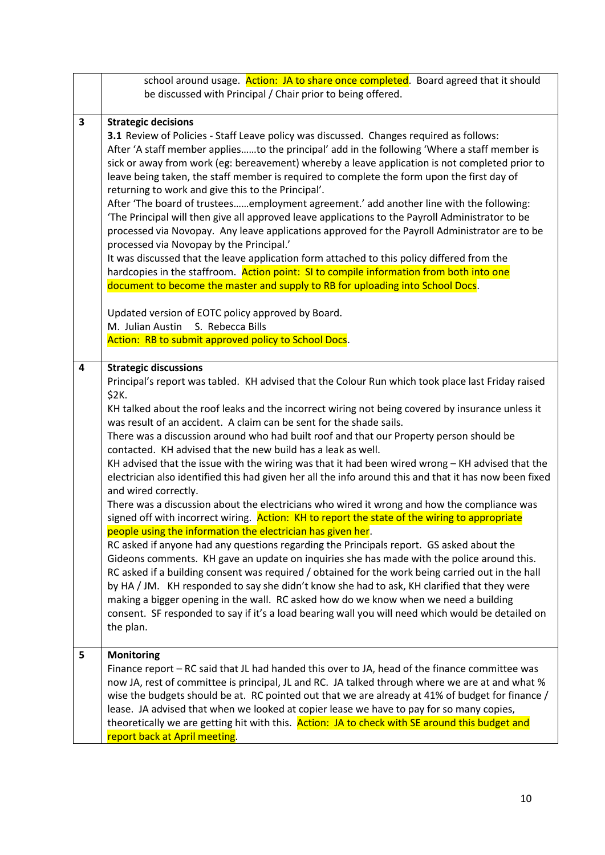|                         | school around usage. Action: JA to share once completed. Board agreed that it should<br>be discussed with Principal / Chair prior to being offered.                                                                                                                                                                                                                                                                                                                                                                                                                                                                                                                                                                                                                                                                                                                                                                                                                                                                                                                                                                                                                                                                                                                                                                                                                                                                                                                                                                                                                                           |
|-------------------------|-----------------------------------------------------------------------------------------------------------------------------------------------------------------------------------------------------------------------------------------------------------------------------------------------------------------------------------------------------------------------------------------------------------------------------------------------------------------------------------------------------------------------------------------------------------------------------------------------------------------------------------------------------------------------------------------------------------------------------------------------------------------------------------------------------------------------------------------------------------------------------------------------------------------------------------------------------------------------------------------------------------------------------------------------------------------------------------------------------------------------------------------------------------------------------------------------------------------------------------------------------------------------------------------------------------------------------------------------------------------------------------------------------------------------------------------------------------------------------------------------------------------------------------------------------------------------------------------------|
| $\overline{\mathbf{3}}$ | <b>Strategic decisions</b><br>3.1 Review of Policies - Staff Leave policy was discussed. Changes required as follows:<br>After 'A staff member appliesto the principal' add in the following 'Where a staff member is<br>sick or away from work (eg: bereavement) whereby a leave application is not completed prior to<br>leave being taken, the staff member is required to complete the form upon the first day of<br>returning to work and give this to the Principal'.<br>After 'The board of trusteesemployment agreement.' add another line with the following:<br>The Principal will then give all approved leave applications to the Payroll Administrator to be<br>processed via Novopay. Any leave applications approved for the Payroll Administrator are to be<br>processed via Novopay by the Principal.'<br>It was discussed that the leave application form attached to this policy differed from the<br>hardcopies in the staffroom. Action point: SI to compile information from both into one<br>document to become the master and supply to RB for uploading into School Docs.                                                                                                                                                                                                                                                                                                                                                                                                                                                                                            |
|                         | Updated version of EOTC policy approved by Board.<br>M. Julian Austin S. Rebecca Bills<br>Action: RB to submit approved policy to School Docs.                                                                                                                                                                                                                                                                                                                                                                                                                                                                                                                                                                                                                                                                                                                                                                                                                                                                                                                                                                                                                                                                                                                                                                                                                                                                                                                                                                                                                                                |
| 4                       | <b>Strategic discussions</b><br>Principal's report was tabled. KH advised that the Colour Run which took place last Friday raised<br>\$2K.<br>KH talked about the roof leaks and the incorrect wiring not being covered by insurance unless it<br>was result of an accident. A claim can be sent for the shade sails.<br>There was a discussion around who had built roof and that our Property person should be<br>contacted. KH advised that the new build has a leak as well.<br>KH advised that the issue with the wiring was that it had been wired wrong - KH advised that the<br>electrician also identified this had given her all the info around this and that it has now been fixed<br>and wired correctly.<br>There was a discussion about the electricians who wired it wrong and how the compliance was<br>signed off with incorrect wiring. Action: KH to report the state of the wiring to appropriate<br>people using the information the electrician has given her.<br>RC asked if anyone had any questions regarding the Principals report. GS asked about the<br>Gideons comments. KH gave an update on inquiries she has made with the police around this.<br>RC asked if a building consent was required / obtained for the work being carried out in the hall<br>by HA / JM. KH responded to say she didn't know she had to ask, KH clarified that they were<br>making a bigger opening in the wall. RC asked how do we know when we need a building<br>consent. SF responded to say if it's a load bearing wall you will need which would be detailed on<br>the plan. |
| 5                       | <b>Monitoring</b><br>Finance report – RC said that JL had handed this over to JA, head of the finance committee was<br>now JA, rest of committee is principal, JL and RC. JA talked through where we are at and what %<br>wise the budgets should be at. RC pointed out that we are already at 41% of budget for finance /<br>lease. JA advised that when we looked at copier lease we have to pay for so many copies,<br>theoretically we are getting hit with this. Action: JA to check with SE around this budget and<br>report back at April meeting.                                                                                                                                                                                                                                                                                                                                                                                                                                                                                                                                                                                                                                                                                                                                                                                                                                                                                                                                                                                                                                     |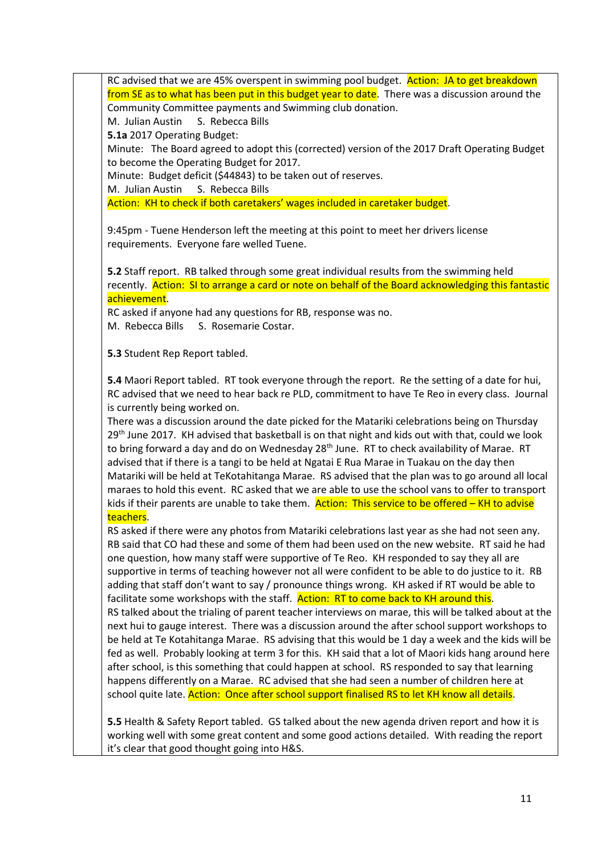RC advised that we are 45% overspent in swimming pool budget. Action: JA to get breakdown from SE as to what has been put in this budget year to date. There was a discussion around the Community Committee payments and Swimming club donation. M. Julian Austin S. Rebecca Bills

**5.1a** 2017 Operating Budget:

Minute: The Board agreed to adopt this (corrected) version of the 2017 Draft Operating Budget to become the Operating Budget for 2017.

Minute: Budget deficit (\$44843) to be taken out of reserves.

M. Julian Austin S. Rebecca Bills

Action: KH to check if both caretakers' wages included in caretaker budget.

9:45pm - Tuene Henderson left the meeting at this point to meet her drivers license requirements. Everyone fare welled Tuene.

**5.2** Staff report. RB talked through some great individual results from the swimming held recently. Action: SI to arrange a card or note on behalf of the Board acknowledging this fantastic achievement.

RC asked if anyone had any questions for RB, response was no. M. Rebecca Bills S. Rosemarie Costar.

**5.3** Student Rep Report tabled.

**5.4** Maori Report tabled. RT took everyone through the report. Re the setting of a date for hui, RC advised that we need to hear back re PLD, commitment to have Te Reo in every class. Journal is currently being worked on.

There was a discussion around the date picked for the Matariki celebrations being on Thursday 29<sup>th</sup> June 2017. KH advised that basketball is on that night and kids out with that, could we look to bring forward a day and do on Wednesday 28<sup>th</sup> June. RT to check availability of Marae. RT advised that if there is a tangi to be held at Ngatai E Rua Marae in Tuakau on the day then Matariki will be held at TeKotahitanga Marae. RS advised that the plan was to go around all local maraes to hold this event. RC asked that we are able to use the school vans to offer to transport kids if their parents are unable to take them. Action: This service to be offered - KH to advise teachers.

RS asked if there were any photos from Matariki celebrations last year as she had not seen any. RB said that CO had these and some of them had been used on the new website. RT said he had one question, how many staff were supportive of Te Reo. KH responded to say they all are supportive in terms of teaching however not all were confident to be able to do justice to it. RB adding that staff don't want to say / pronounce things wrong. KH asked if RT would be able to facilitate some workshops with the staff. **Action: RT to come back to KH around this**.

RS talked about the trialing of parent teacher interviews on marae, this will be talked about at the next hui to gauge interest. There was a discussion around the after school support workshops to be held at Te Kotahitanga Marae. RS advising that this would be 1 day a week and the kids will be fed as well. Probably looking at term 3 for this. KH said that a lot of Maori kids hang around here after school, is this something that could happen at school. RS responded to say that learning happens differently on a Marae. RC advised that she had seen a number of children here at school quite late. Action: Once after school support finalised RS to let KH know all details.

**5.5** Health & Safety Report tabled. GS talked about the new agenda driven report and how it is working well with some great content and some good actions detailed. With reading the report it's clear that good thought going into H&S.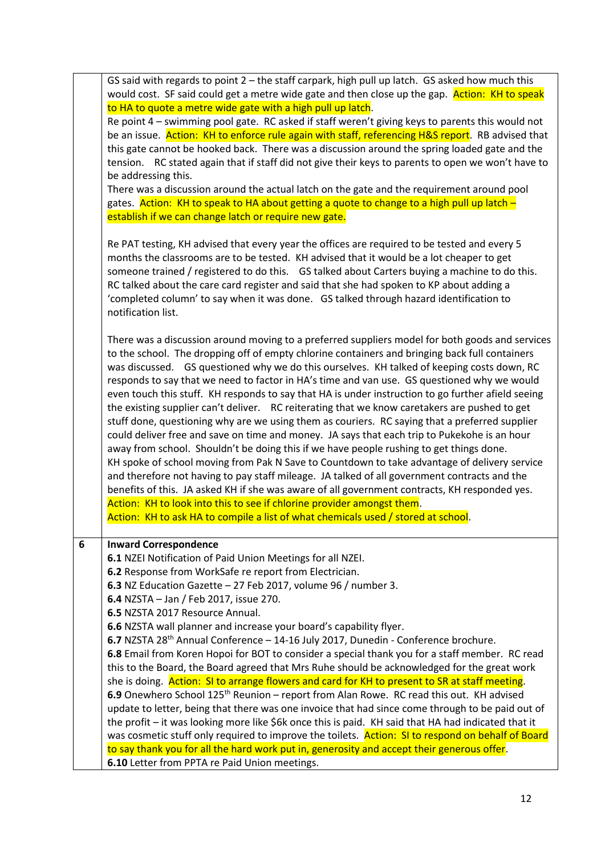|   | GS said with regards to point 2 - the staff carpark, high pull up latch. GS asked how much this<br>would cost. SF said could get a metre wide gate and then close up the gap. Action: KH to speak<br>to HA to quote a metre wide gate with a high pull up latch. |
|---|------------------------------------------------------------------------------------------------------------------------------------------------------------------------------------------------------------------------------------------------------------------|
|   |                                                                                                                                                                                                                                                                  |
|   | Re point 4 - swimming pool gate. RC asked if staff weren't giving keys to parents this would not                                                                                                                                                                 |
|   | be an issue. Action: KH to enforce rule again with staff, referencing H&S report. RB advised that                                                                                                                                                                |
|   | this gate cannot be hooked back. There was a discussion around the spring loaded gate and the                                                                                                                                                                    |
|   | tension. RC stated again that if staff did not give their keys to parents to open we won't have to                                                                                                                                                               |
|   | be addressing this.                                                                                                                                                                                                                                              |
|   | There was a discussion around the actual latch on the gate and the requirement around pool                                                                                                                                                                       |
|   | gates. Action: KH to speak to HA about getting a quote to change to a high pull up latch -                                                                                                                                                                       |
|   | establish if we can change latch or require new gate.                                                                                                                                                                                                            |
|   |                                                                                                                                                                                                                                                                  |
|   | Re PAT testing, KH advised that every year the offices are required to be tested and every 5                                                                                                                                                                     |
|   | months the classrooms are to be tested. KH advised that it would be a lot cheaper to get                                                                                                                                                                         |
|   | someone trained / registered to do this. GS talked about Carters buying a machine to do this.                                                                                                                                                                    |
|   | RC talked about the care card register and said that she had spoken to KP about adding a                                                                                                                                                                         |
|   | 'completed column' to say when it was done. GS talked through hazard identification to                                                                                                                                                                           |
|   | notification list.                                                                                                                                                                                                                                               |
|   |                                                                                                                                                                                                                                                                  |
|   | There was a discussion around moving to a preferred suppliers model for both goods and services                                                                                                                                                                  |
|   | to the school. The dropping off of empty chlorine containers and bringing back full containers                                                                                                                                                                   |
|   | was discussed. GS questioned why we do this ourselves. KH talked of keeping costs down, RC                                                                                                                                                                       |
|   | responds to say that we need to factor in HA's time and van use. GS questioned why we would                                                                                                                                                                      |
|   | even touch this stuff. KH responds to say that HA is under instruction to go further afield seeing                                                                                                                                                               |
|   | the existing supplier can't deliver. RC reiterating that we know caretakers are pushed to get                                                                                                                                                                    |
|   |                                                                                                                                                                                                                                                                  |
|   | stuff done, questioning why are we using them as couriers. RC saying that a preferred supplier                                                                                                                                                                   |
|   | could deliver free and save on time and money. JA says that each trip to Pukekohe is an hour                                                                                                                                                                     |
|   | away from school. Shouldn't be doing this if we have people rushing to get things done.                                                                                                                                                                          |
|   | KH spoke of school moving from Pak N Save to Countdown to take advantage of delivery service                                                                                                                                                                     |
|   | and therefore not having to pay staff mileage. JA talked of all government contracts and the                                                                                                                                                                     |
|   | benefits of this. JA asked KH if she was aware of all government contracts, KH responded yes.                                                                                                                                                                    |
|   | Action: KH to look into this to see if chlorine provider amongst them.                                                                                                                                                                                           |
|   | Action: KH to ask HA to compile a list of what chemicals used / stored at school.                                                                                                                                                                                |
|   |                                                                                                                                                                                                                                                                  |
| 6 | <b>Inward Correspondence</b>                                                                                                                                                                                                                                     |
|   | 6.1 NZEI Notification of Paid Union Meetings for all NZEI.                                                                                                                                                                                                       |
|   | 6.2 Response from WorkSafe re report from Electrician.                                                                                                                                                                                                           |
|   | 6.3 NZ Education Gazette $-27$ Feb 2017, volume 96 / number 3.                                                                                                                                                                                                   |
|   | 6.4 NZSTA - Jan / Feb 2017, issue 270.                                                                                                                                                                                                                           |
|   | 6.5 NZSTA 2017 Resource Annual.                                                                                                                                                                                                                                  |
|   | 6.6 NZSTA wall planner and increase your board's capability flyer.                                                                                                                                                                                               |
|   | 6.7 NZSTA 28th Annual Conference - 14-16 July 2017, Dunedin - Conference brochure.                                                                                                                                                                               |
|   |                                                                                                                                                                                                                                                                  |
|   | 6.8 Email from Koren Hopoi for BOT to consider a special thank you for a staff member. RC read                                                                                                                                                                   |
|   | this to the Board, the Board agreed that Mrs Ruhe should be acknowledged for the great work                                                                                                                                                                      |
|   | she is doing. Action: SI to arrange flowers and card for KH to present to SR at staff meeting.                                                                                                                                                                   |
|   | 6.9 Onewhero School 125 <sup>th</sup> Reunion - report from Alan Rowe. RC read this out. KH advised                                                                                                                                                              |
|   | update to letter, being that there was one invoice that had since come through to be paid out of                                                                                                                                                                 |
|   | the profit - it was looking more like \$6k once this is paid. KH said that HA had indicated that it                                                                                                                                                              |
|   | was cosmetic stuff only required to improve the toilets. Action: SI to respond on behalf of Board                                                                                                                                                                |
|   | to say thank you for all the hard work put in, generosity and accept their generous offer.                                                                                                                                                                       |
|   | 6.10 Letter from PPTA re Paid Union meetings.                                                                                                                                                                                                                    |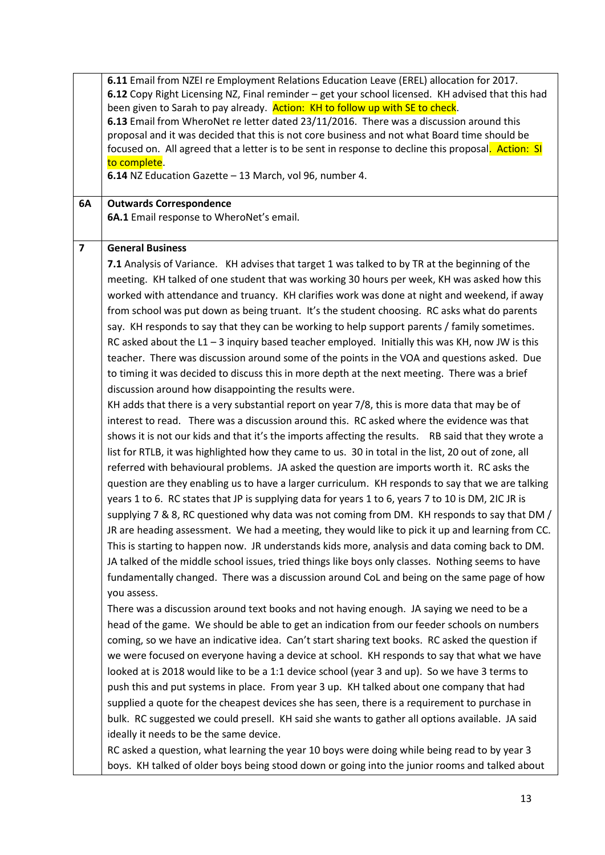**6.11** Email from NZEI re Employment Relations Education Leave (EREL) allocation for 2017. **6.12** Copy Right Licensing NZ, Final reminder – get your school licensed. KH advised that this had been given to Sarah to pay already. Action: KH to follow up with SE to check. **6.13** Email from WheroNet re letter dated 23/11/2016. There was a discussion around this proposal and it was decided that this is not core business and not what Board time should be focused on. All agreed that a letter is to be sent in response to decline this proposal. Action: SI to complete.

**6.14** NZ Education Gazette – 13 March, vol 96, number 4.

## **6A Outwards Correspondence**

**6A.1** Email response to WheroNet's email.

## **7 General Business**

**7.1** Analysis of Variance. KH advises that target 1 was talked to by TR at the beginning of the meeting. KH talked of one student that was working 30 hours per week, KH was asked how this worked with attendance and truancy. KH clarifies work was done at night and weekend, if away from school was put down as being truant. It's the student choosing. RC asks what do parents say. KH responds to say that they can be working to help support parents / family sometimes. RC asked about the  $L1 - 3$  inquiry based teacher employed. Initially this was KH, now JW is this teacher. There was discussion around some of the points in the VOA and questions asked. Due to timing it was decided to discuss this in more depth at the next meeting. There was a brief discussion around how disappointing the results were.

KH adds that there is a very substantial report on year 7/8, this is more data that may be of interest to read. There was a discussion around this. RC asked where the evidence was that shows it is not our kids and that it's the imports affecting the results. RB said that they wrote a list for RTLB, it was highlighted how they came to us. 30 in total in the list, 20 out of zone, all referred with behavioural problems. JA asked the question are imports worth it. RC asks the question are they enabling us to have a larger curriculum. KH responds to say that we are talking years 1 to 6. RC states that JP is supplying data for years 1 to 6, years 7 to 10 is DM, 2IC JR is supplying 7 & 8, RC questioned why data was not coming from DM. KH responds to say that DM / JR are heading assessment. We had a meeting, they would like to pick it up and learning from CC. This is starting to happen now. JR understands kids more, analysis and data coming back to DM. JA talked of the middle school issues, tried things like boys only classes. Nothing seems to have fundamentally changed. There was a discussion around CoL and being on the same page of how you assess.

There was a discussion around text books and not having enough. JA saying we need to be a head of the game. We should be able to get an indication from our feeder schools on numbers coming, so we have an indicative idea. Can't start sharing text books. RC asked the question if we were focused on everyone having a device at school. KH responds to say that what we have looked at is 2018 would like to be a 1:1 device school (year 3 and up). So we have 3 terms to push this and put systems in place. From year 3 up. KH talked about one company that had supplied a quote for the cheapest devices she has seen, there is a requirement to purchase in bulk. RC suggested we could presell. KH said she wants to gather all options available. JA said ideally it needs to be the same device.

RC asked a question, what learning the year 10 boys were doing while being read to by year 3 boys. KH talked of older boys being stood down or going into the junior rooms and talked about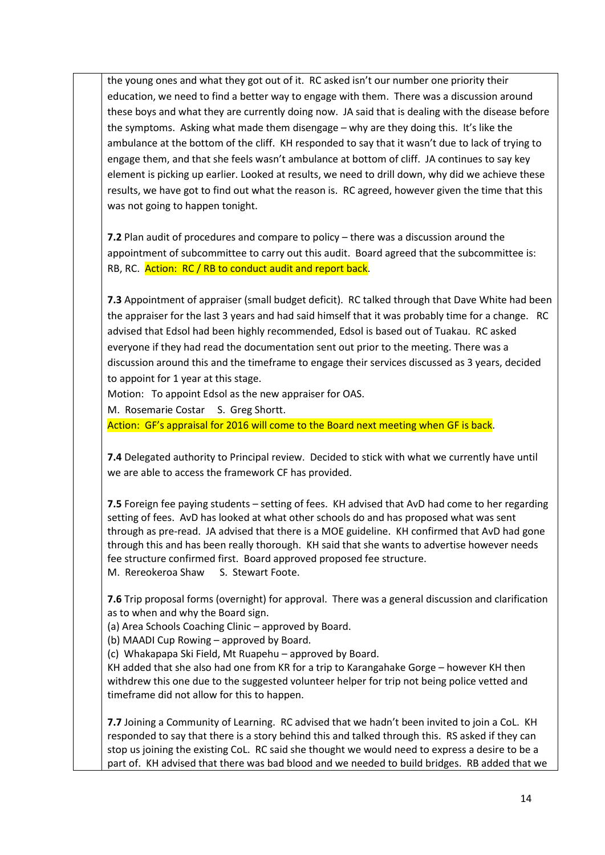the young ones and what they got out of it. RC asked isn't our number one priority their education, we need to find a better way to engage with them. There was a discussion around these boys and what they are currently doing now. JA said that is dealing with the disease before the symptoms. Asking what made them disengage – why are they doing this. It's like the ambulance at the bottom of the cliff. KH responded to say that it wasn't due to lack of trying to engage them, and that she feels wasn't ambulance at bottom of cliff. JA continues to say key element is picking up earlier. Looked at results, we need to drill down, why did we achieve these results, we have got to find out what the reason is. RC agreed, however given the time that this was not going to happen tonight.

**7.2** Plan audit of procedures and compare to policy – there was a discussion around the appointment of subcommittee to carry out this audit. Board agreed that the subcommittee is: RB, RC. Action: RC / RB to conduct audit and report back.

**7.3** Appointment of appraiser (small budget deficit). RC talked through that Dave White had been the appraiser for the last 3 years and had said himself that it was probably time for a change. RC advised that Edsol had been highly recommended, Edsol is based out of Tuakau. RC asked everyone if they had read the documentation sent out prior to the meeting. There was a discussion around this and the timeframe to engage their services discussed as 3 years, decided to appoint for 1 year at this stage.

Motion: To appoint Edsol as the new appraiser for OAS.

M. Rosemarie Costar S. Greg Shortt.

Action: GF's appraisal for 2016 will come to the Board next meeting when GF is back.

**7.4** Delegated authority to Principal review. Decided to stick with what we currently have until we are able to access the framework CF has provided.

**7.5** Foreign fee paying students – setting of fees. KH advised that AvD had come to her regarding setting of fees. AvD has looked at what other schools do and has proposed what was sent through as pre-read. JA advised that there is a MOE guideline. KH confirmed that AvD had gone through this and has been really thorough. KH said that she wants to advertise however needs fee structure confirmed first. Board approved proposed fee structure. M. Rereokeroa Shaw S. Stewart Foote.

**7.6** Trip proposal forms (overnight) for approval. There was a general discussion and clarification as to when and why the Board sign.

(a) Area Schools Coaching Clinic – approved by Board.

(b) MAADI Cup Rowing – approved by Board.

(c) Whakapapa Ski Field, Mt Ruapehu – approved by Board.

KH added that she also had one from KR for a trip to Karangahake Gorge – however KH then withdrew this one due to the suggested volunteer helper for trip not being police vetted and timeframe did not allow for this to happen.

**7.7** Joining a Community of Learning. RC advised that we hadn't been invited to join a CoL. KH responded to say that there is a story behind this and talked through this. RS asked if they can stop us joining the existing CoL. RC said she thought we would need to express a desire to be a part of. KH advised that there was bad blood and we needed to build bridges. RB added that we